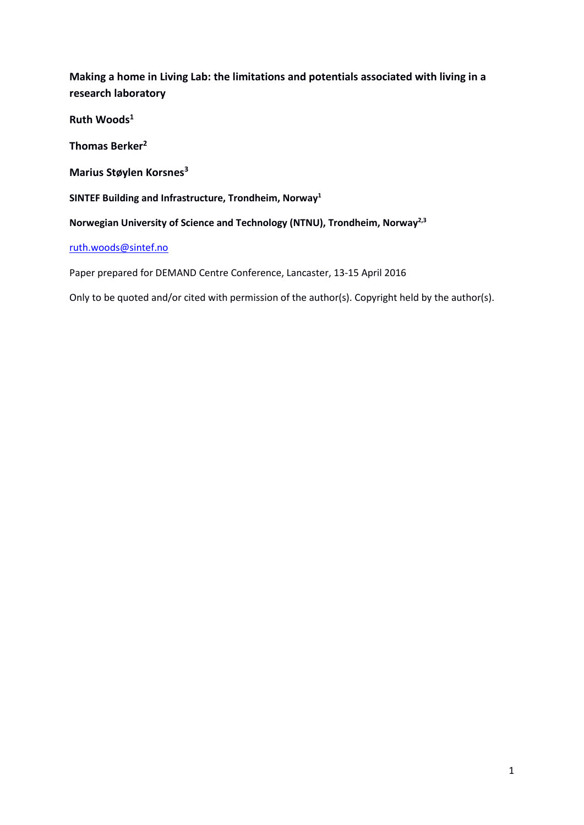**Making a home in Living Lab: the limitations and potentials associated with living in a research laboratory** 

**Ruth Woods1**

**Thomas Berker2**

**Marius Støylen Korsnes3**

**SINTEF Building and Infrastructure, Trondheim, Norway1**

**Norwegian University of Science and Technology (NTNU), Trondheim, Norway2,3**

#### [ruth.woods@sintef.no](mailto:ruth.woods@sintef.no)

Paper prepared for DEMAND Centre Conference, Lancaster, 13-15 April 2016

Only to be quoted and/or cited with permission of the author(s). Copyright held by the author(s).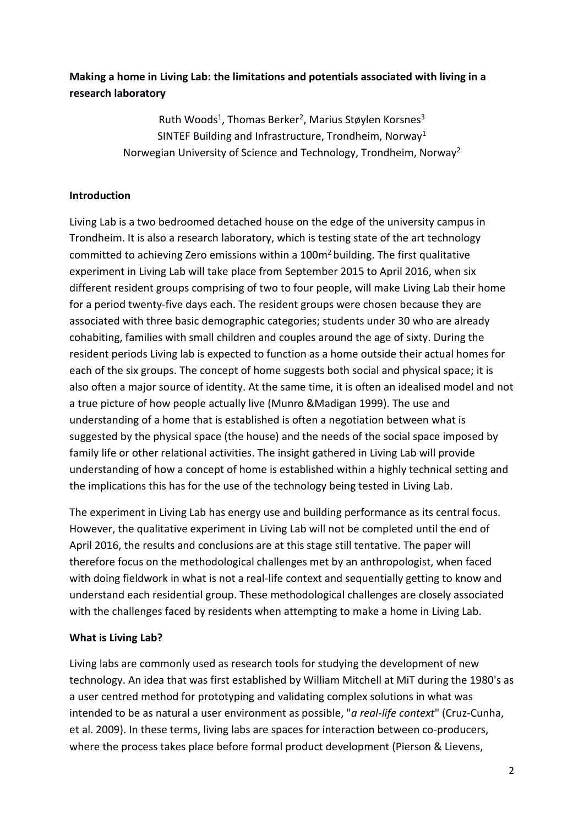# **Making a home in Living Lab: the limitations and potentials associated with living in a research laboratory**

Ruth Woods<sup>1</sup>, Thomas Berker<sup>2</sup>, Marius Støylen Korsnes<sup>3</sup> SINTEF Building and Infrastructure, Trondheim, Norway<sup>1</sup> Norwegian University of Science and Technology, Trondheim, Norway2

## **Introduction**

Living Lab is a two bedroomed detached house on the edge of the university campus in Trondheim. It is also a research laboratory, which is testing state of the art technology committed to achieving Zero emissions within a  $100<sup>m²</sup>$  building. The first qualitative experiment in Living Lab will take place from September 2015 to April 2016, when six different resident groups comprising of two to four people, will make Living Lab their home for a period twenty-five days each. The resident groups were chosen because they are associated with three basic demographic categories; students under 30 who are already cohabiting, families with small children and couples around the age of sixty. During the resident periods Living lab is expected to function as a home outside their actual homes for each of the six groups. The concept of home suggests both social and physical space; it is also often a major source of identity. At the same time, it is often an idealised model and not a true picture of how people actually live (Munro &Madigan 1999). The use and understanding of a home that is established is often a negotiation between what is suggested by the physical space (the house) and the needs of the social space imposed by family life or other relational activities. The insight gathered in Living Lab will provide understanding of how a concept of home is established within a highly technical setting and the implications this has for the use of the technology being tested in Living Lab.

The experiment in Living Lab has energy use and building performance as its central focus. However, the qualitative experiment in Living Lab will not be completed until the end of April 2016, the results and conclusions are at this stage still tentative. The paper will therefore focus on the methodological challenges met by an anthropologist, when faced with doing fieldwork in what is not a real-life context and sequentially getting to know and understand each residential group. These methodological challenges are closely associated with the challenges faced by residents when attempting to make a home in Living Lab.

### **What is Living Lab?**

Living labs are commonly used as research tools for studying the development of new technology. An idea that was first established by William Mitchell at MiT during the 1980's as a user centred method for prototyping and validating complex solutions in what was intended to be as natural a user environment as possible, "*a real-life context*" (Cruz-Cunha, et al. 2009). In these terms, living labs are spaces for interaction between co-producers, where the process takes place before formal product development (Pierson & Lievens,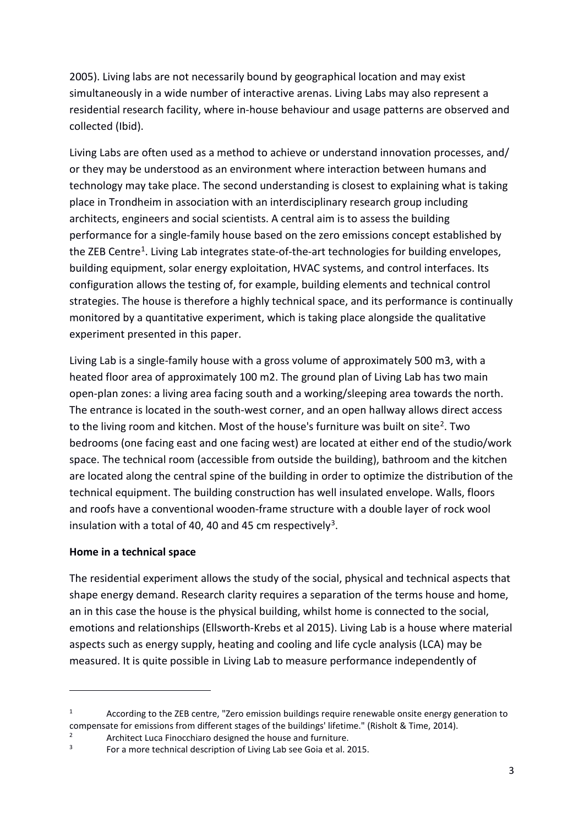2005). Living labs are not necessarily bound by geographical location and may exist simultaneously in a wide number of interactive arenas. Living Labs may also represent a residential research facility, where in-house behaviour and usage patterns are observed and collected (Ibid).

Living Labs are often used as a method to achieve or understand innovation processes, and/ or they may be understood as an environment where interaction between humans and technology may take place. The second understanding is closest to explaining what is taking place in Trondheim in association with an interdisciplinary research group including architects, engineers and social scientists. A central aim is to assess the building performance for a single-family house based on the zero emissions concept established by the ZEB Centre<sup>1</sup>. Living Lab integrates state-of-the-art technologies for building envelopes, building equipment, solar energy exploitation, HVAC systems, and control interfaces. Its configuration allows the testing of, for example, building elements and technical control strategies. The house is therefore a highly technical space, and its performance is continually monitored by a quantitative experiment, which is taking place alongside the qualitative experiment presented in this paper.

Living Lab is a single-family house with a gross volume of approximately 500 m3, with a heated floor area of approximately 100 m2. The ground plan of Living Lab has two main open-plan zones: a living area facing south and a working/sleeping area towards the north. The entrance is located in the south-west corner, and an open hallway allows direct access to the living room and kitchen. Most of the house's furniture was built on site<sup>2</sup>. Two bedrooms (one facing east and one facing west) are located at either end of the studio/work space. The technical room (accessible from outside the building), bathroom and the kitchen are located along the central spine of the building in order to optimize the distribution of the technical equipment. The building construction has well insulated envelope. Walls, floors and roofs have a conventional wooden-frame structure with a double layer of rock wool insulation with a total of 40, 40 and 45 cm respectively<sup>3</sup>.

### **Home in a technical space**

 $\overline{a}$ 

The residential experiment allows the study of the social, physical and technical aspects that shape energy demand. Research clarity requires a separation of the terms house and home, an in this case the house is the physical building, whilst home is connected to the social, emotions and relationships (Ellsworth-Krebs et al 2015). Living Lab is a house where material aspects such as energy supply, heating and cooling and life cycle analysis (LCA) may be measured. It is quite possible in Living Lab to measure performance independently of

<span id="page-2-0"></span> $1 \text{ Acording to the ZEB centre.}$  "Zero emission buildings require renewable onsite energy generation to compensate for emissions from different stages of the buildings' lifetime." (Risholt & Time, 2014).

<span id="page-2-1"></span><sup>2</sup> Architect Luca Finocchiaro designed the house and furniture.<br> $\frac{3}{2}$  For a more technical description of Living Lab see Goia et al.

<span id="page-2-2"></span><sup>3</sup> For a more technical description of Living Lab see Goia et al. 2015.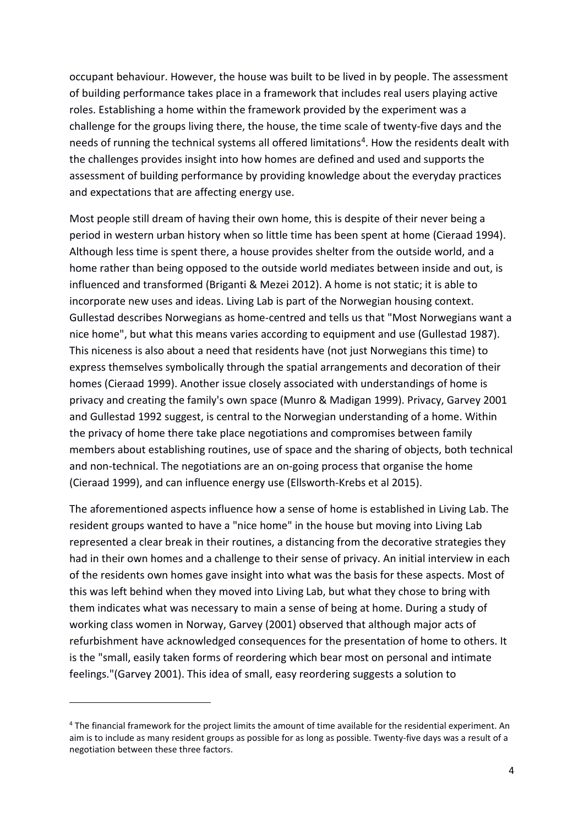occupant behaviour. However, the house was built to be lived in by people. The assessment of building performance takes place in a framework that includes real users playing active roles. Establishing a home within the framework provided by the experiment was a challenge for the groups living there, the house, the time scale of twenty-five days and the needs of running the technical systems all offered limitations<sup>4</sup>. How the residents dealt with the challenges provides insight into how homes are defined and used and supports the assessment of building performance by providing knowledge about the everyday practices and expectations that are affecting energy use.

Most people still dream of having their own home, this is despite of their never being a period in western urban history when so little time has been spent at home (Cieraad 1994). Although less time is spent there, a house provides shelter from the outside world, and a home rather than being opposed to the outside world mediates between inside and out, is influenced and transformed (Briganti & Mezei 2012). A home is not static; it is able to incorporate new uses and ideas. Living Lab is part of the Norwegian housing context. Gullestad describes Norwegians as home-centred and tells us that "Most Norwegians want a nice home", but what this means varies according to equipment and use (Gullestad 1987). This niceness is also about a need that residents have (not just Norwegians this time) to express themselves symbolically through the spatial arrangements and decoration of their homes (Cieraad 1999). Another issue closely associated with understandings of home is privacy and creating the family's own space (Munro & Madigan 1999). Privacy, Garvey 2001 and Gullestad 1992 suggest, is central to the Norwegian understanding of a home. Within the privacy of home there take place negotiations and compromises between family members about establishing routines, use of space and the sharing of objects, both technical and non-technical. The negotiations are an on-going process that organise the home (Cieraad 1999), and can influence energy use (Ellsworth-Krebs et al 2015).

The aforementioned aspects influence how a sense of home is established in Living Lab. The resident groups wanted to have a "nice home" in the house but moving into Living Lab represented a clear break in their routines, a distancing from the decorative strategies they had in their own homes and a challenge to their sense of privacy. An initial interview in each of the residents own homes gave insight into what was the basis for these aspects. Most of this was left behind when they moved into Living Lab, but what they chose to bring with them indicates what was necessary to main a sense of being at home. During a study of working class women in Norway, Garvey (2001) observed that although major acts of refurbishment have acknowledged consequences for the presentation of home to others. It is the "small, easily taken forms of reordering which bear most on personal and intimate feelings."(Garvey 2001). This idea of small, easy reordering suggests a solution to

 $\overline{a}$ 

<span id="page-3-0"></span><sup>4</sup> The financial framework for the project limits the amount of time available for the residential experiment. An aim is to include as many resident groups as possible for as long as possible. Twenty-five days was a result of a negotiation between these three factors.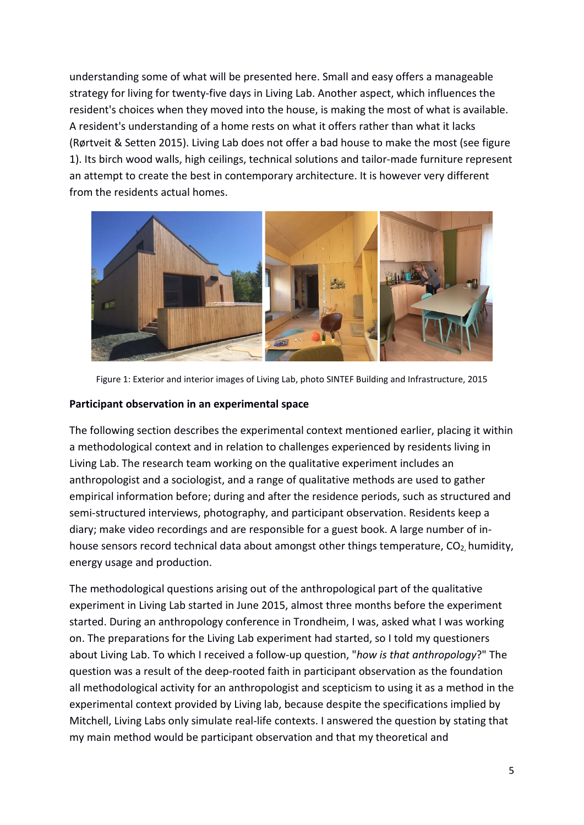understanding some of what will be presented here. Small and easy offers a manageable strategy for living for twenty-five days in Living Lab. Another aspect, which influences the resident's choices when they moved into the house, is making the most of what is available. A resident's understanding of a home rests on what it offers rather than what it lacks (Rørtveit & Setten 2015). Living Lab does not offer a bad house to make the most (see figure 1). Its birch wood walls, high ceilings, technical solutions and tailor-made furniture represent an attempt to create the best in contemporary architecture. It is however very different from the residents actual homes.



Figure 1: Exterior and interior images of Living Lab, photo SINTEF Building and Infrastructure, 2015

### **Participant observation in an experimental space**

The following section describes the experimental context mentioned earlier, placing it within a methodological context and in relation to challenges experienced by residents living in Living Lab. The research team working on the qualitative experiment includes an anthropologist and a sociologist, and a range of qualitative methods are used to gather empirical information before; during and after the residence periods, such as structured and semi-structured interviews, photography, and participant observation. Residents keep a diary; make video recordings and are responsible for a guest book. A large number of inhouse sensors record technical data about amongst other things temperature, CO<sub>2</sub>, humidity, energy usage and production.

The methodological questions arising out of the anthropological part of the qualitative experiment in Living Lab started in June 2015, almost three months before the experiment started. During an anthropology conference in Trondheim, I was, asked what I was working on. The preparations for the Living Lab experiment had started, so I told my questioners about Living Lab. To which I received a follow-up question, "*how is that anthropology*?" The question was a result of the deep-rooted faith in participant observation as the foundation all methodological activity for an anthropologist and scepticism to using it as a method in the experimental context provided by Living lab, because despite the specifications implied by Mitchell, Living Labs only simulate real-life contexts. I answered the question by stating that my main method would be participant observation and that my theoretical and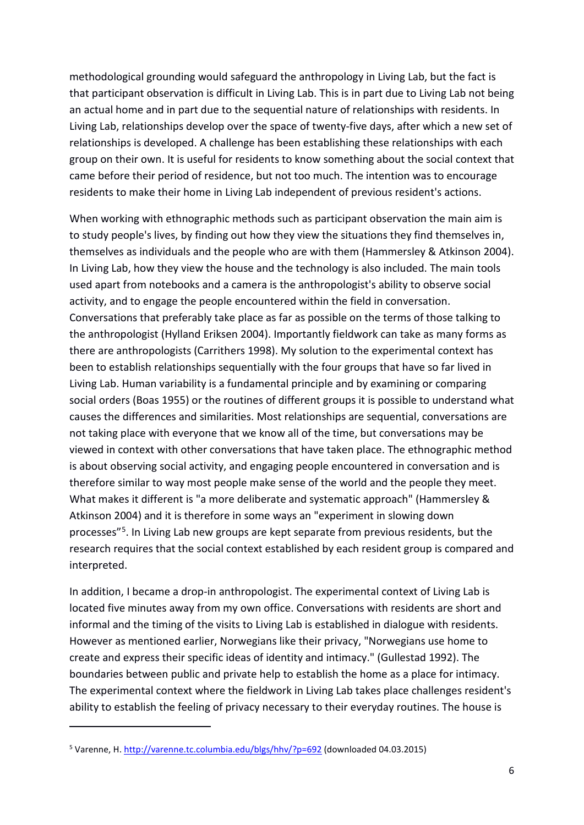methodological grounding would safeguard the anthropology in Living Lab, but the fact is that participant observation is difficult in Living Lab. This is in part due to Living Lab not being an actual home and in part due to the sequential nature of relationships with residents. In Living Lab, relationships develop over the space of twenty-five days, after which a new set of relationships is developed. A challenge has been establishing these relationships with each group on their own. It is useful for residents to know something about the social context that came before their period of residence, but not too much. The intention was to encourage residents to make their home in Living Lab independent of previous resident's actions.

When working with ethnographic methods such as participant observation the main aim is to study people's lives, by finding out how they view the situations they find themselves in, themselves as individuals and the people who are with them (Hammersley & Atkinson 2004). In Living Lab, how they view the house and the technology is also included. The main tools used apart from notebooks and a camera is the anthropologist's ability to observe social activity, and to engage the people encountered within the field in conversation. Conversations that preferably take place as far as possible on the terms of those talking to the anthropologist (Hylland Eriksen 2004). Importantly fieldwork can take as many forms as there are anthropologists (Carrithers 1998). My solution to the experimental context has been to establish relationships sequentially with the four groups that have so far lived in Living Lab. Human variability is a fundamental principle and by examining or comparing social orders (Boas 1955) or the routines of different groups it is possible to understand what causes the differences and similarities. Most relationships are sequential, conversations are not taking place with everyone that we know all of the time, but conversations may be viewed in context with other conversations that have taken place. The ethnographic method is about observing social activity, and engaging people encountered in conversation and is therefore similar to way most people make sense of the world and the people they meet. What makes it different is "a more deliberate and systematic approach" (Hammersley & Atkinson 2004) and it is therefore in some ways an "experiment in slowing down processes"[5](#page-5-0). In Living Lab new groups are kept separate from previous residents, but the research requires that the social context established by each resident group is compared and interpreted.

In addition, I became a drop-in anthropologist. The experimental context of Living Lab is located five minutes away from my own office. Conversations with residents are short and informal and the timing of the visits to Living Lab is established in dialogue with residents. However as mentioned earlier, Norwegians like their privacy, "Norwegians use home to create and express their specific ideas of identity and intimacy." (Gullestad 1992). The boundaries between public and private help to establish the home as a place for intimacy. The experimental context where the fieldwork in Living Lab takes place challenges resident's ability to establish the feeling of privacy necessary to their everyday routines. The house is

 $\overline{a}$ 

<span id="page-5-0"></span><sup>&</sup>lt;sup>5</sup> Varenne, H[. http://varenne.tc.columbia.edu/blgs/hhv/?p=692](http://varenne.tc.columbia.edu/blgs/hhv/?p=692) (downloaded 04.03.2015)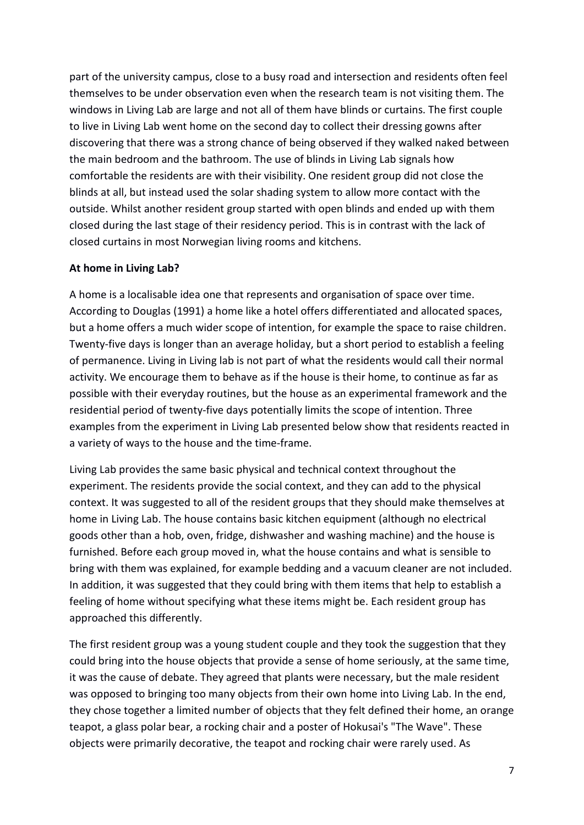part of the university campus, close to a busy road and intersection and residents often feel themselves to be under observation even when the research team is not visiting them. The windows in Living Lab are large and not all of them have blinds or curtains. The first couple to live in Living Lab went home on the second day to collect their dressing gowns after discovering that there was a strong chance of being observed if they walked naked between the main bedroom and the bathroom. The use of blinds in Living Lab signals how comfortable the residents are with their visibility. One resident group did not close the blinds at all, but instead used the solar shading system to allow more contact with the outside. Whilst another resident group started with open blinds and ended up with them closed during the last stage of their residency period. This is in contrast with the lack of closed curtains in most Norwegian living rooms and kitchens.

#### **At home in Living Lab?**

A home is a localisable idea one that represents and organisation of space over time. According to Douglas (1991) a home like a hotel offers differentiated and allocated spaces, but a home offers a much wider scope of intention, for example the space to raise children. Twenty-five days is longer than an average holiday, but a short period to establish a feeling of permanence. Living in Living lab is not part of what the residents would call their normal activity. We encourage them to behave as if the house is their home, to continue as far as possible with their everyday routines, but the house as an experimental framework and the residential period of twenty-five days potentially limits the scope of intention. Three examples from the experiment in Living Lab presented below show that residents reacted in a variety of ways to the house and the time-frame.

Living Lab provides the same basic physical and technical context throughout the experiment. The residents provide the social context, and they can add to the physical context. It was suggested to all of the resident groups that they should make themselves at home in Living Lab. The house contains basic kitchen equipment (although no electrical goods other than a hob, oven, fridge, dishwasher and washing machine) and the house is furnished. Before each group moved in, what the house contains and what is sensible to bring with them was explained, for example bedding and a vacuum cleaner are not included. In addition, it was suggested that they could bring with them items that help to establish a feeling of home without specifying what these items might be. Each resident group has approached this differently.

The first resident group was a young student couple and they took the suggestion that they could bring into the house objects that provide a sense of home seriously, at the same time, it was the cause of debate. They agreed that plants were necessary, but the male resident was opposed to bringing too many objects from their own home into Living Lab. In the end, they chose together a limited number of objects that they felt defined their home, an orange teapot, a glass polar bear, a rocking chair and a poster of Hokusai's "The Wave". These objects were primarily decorative, the teapot and rocking chair were rarely used. As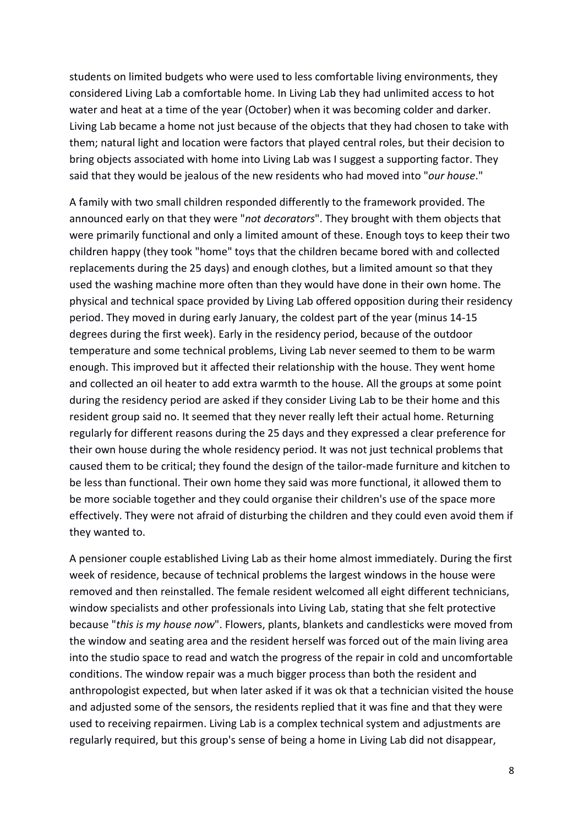students on limited budgets who were used to less comfortable living environments, they considered Living Lab a comfortable home. In Living Lab they had unlimited access to hot water and heat at a time of the year (October) when it was becoming colder and darker. Living Lab became a home not just because of the objects that they had chosen to take with them; natural light and location were factors that played central roles, but their decision to bring objects associated with home into Living Lab was I suggest a supporting factor. They said that they would be jealous of the new residents who had moved into "*our house*."

A family with two small children responded differently to the framework provided. The announced early on that they were "*not decorators*". They brought with them objects that were primarily functional and only a limited amount of these. Enough toys to keep their two children happy (they took "home" toys that the children became bored with and collected replacements during the 25 days) and enough clothes, but a limited amount so that they used the washing machine more often than they would have done in their own home. The physical and technical space provided by Living Lab offered opposition during their residency period. They moved in during early January, the coldest part of the year (minus 14-15 degrees during the first week). Early in the residency period, because of the outdoor temperature and some technical problems, Living Lab never seemed to them to be warm enough. This improved but it affected their relationship with the house. They went home and collected an oil heater to add extra warmth to the house. All the groups at some point during the residency period are asked if they consider Living Lab to be their home and this resident group said no. It seemed that they never really left their actual home. Returning regularly for different reasons during the 25 days and they expressed a clear preference for their own house during the whole residency period. It was not just technical problems that caused them to be critical; they found the design of the tailor-made furniture and kitchen to be less than functional. Their own home they said was more functional, it allowed them to be more sociable together and they could organise their children's use of the space more effectively. They were not afraid of disturbing the children and they could even avoid them if they wanted to.

A pensioner couple established Living Lab as their home almost immediately. During the first week of residence, because of technical problems the largest windows in the house were removed and then reinstalled. The female resident welcomed all eight different technicians, window specialists and other professionals into Living Lab, stating that she felt protective because "*this is my house now*". Flowers, plants, blankets and candlesticks were moved from the window and seating area and the resident herself was forced out of the main living area into the studio space to read and watch the progress of the repair in cold and uncomfortable conditions. The window repair was a much bigger process than both the resident and anthropologist expected, but when later asked if it was ok that a technician visited the house and adjusted some of the sensors, the residents replied that it was fine and that they were used to receiving repairmen. Living Lab is a complex technical system and adjustments are regularly required, but this group's sense of being a home in Living Lab did not disappear,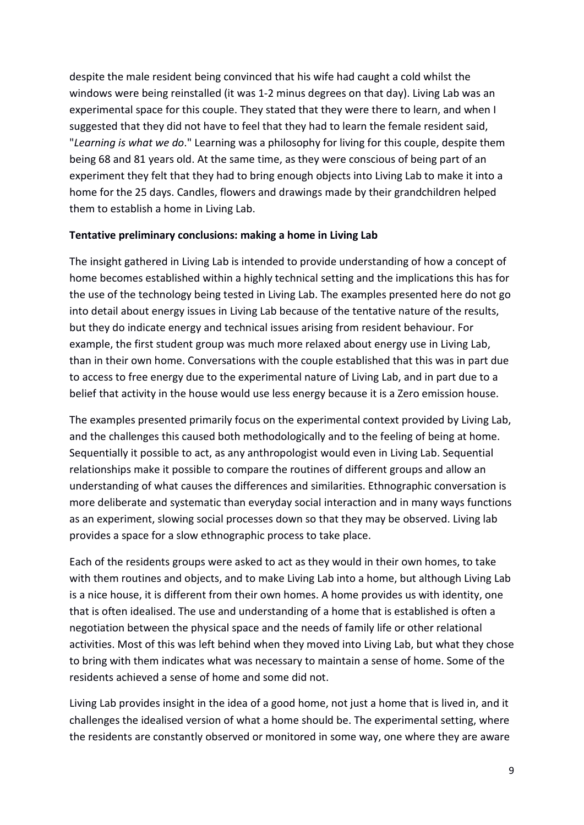despite the male resident being convinced that his wife had caught a cold whilst the windows were being reinstalled (it was 1-2 minus degrees on that day). Living Lab was an experimental space for this couple. They stated that they were there to learn, and when I suggested that they did not have to feel that they had to learn the female resident said, "*Learning is what we do*." Learning was a philosophy for living for this couple, despite them being 68 and 81 years old. At the same time, as they were conscious of being part of an experiment they felt that they had to bring enough objects into Living Lab to make it into a home for the 25 days. Candles, flowers and drawings made by their grandchildren helped them to establish a home in Living Lab.

### **Tentative preliminary conclusions: making a home in Living Lab**

The insight gathered in Living Lab is intended to provide understanding of how a concept of home becomes established within a highly technical setting and the implications this has for the use of the technology being tested in Living Lab. The examples presented here do not go into detail about energy issues in Living Lab because of the tentative nature of the results, but they do indicate energy and technical issues arising from resident behaviour. For example, the first student group was much more relaxed about energy use in Living Lab, than in their own home. Conversations with the couple established that this was in part due to access to free energy due to the experimental nature of Living Lab, and in part due to a belief that activity in the house would use less energy because it is a Zero emission house.

The examples presented primarily focus on the experimental context provided by Living Lab, and the challenges this caused both methodologically and to the feeling of being at home. Sequentially it possible to act, as any anthropologist would even in Living Lab. Sequential relationships make it possible to compare the routines of different groups and allow an understanding of what causes the differences and similarities. Ethnographic conversation is more deliberate and systematic than everyday social interaction and in many ways functions as an experiment, slowing social processes down so that they may be observed. Living lab provides a space for a slow ethnographic process to take place.

Each of the residents groups were asked to act as they would in their own homes, to take with them routines and objects, and to make Living Lab into a home, but although Living Lab is a nice house, it is different from their own homes. A home provides us with identity, one that is often idealised. The use and understanding of a home that is established is often a negotiation between the physical space and the needs of family life or other relational activities. Most of this was left behind when they moved into Living Lab, but what they chose to bring with them indicates what was necessary to maintain a sense of home. Some of the residents achieved a sense of home and some did not.

Living Lab provides insight in the idea of a good home, not just a home that is lived in, and it challenges the idealised version of what a home should be. The experimental setting, where the residents are constantly observed or monitored in some way, one where they are aware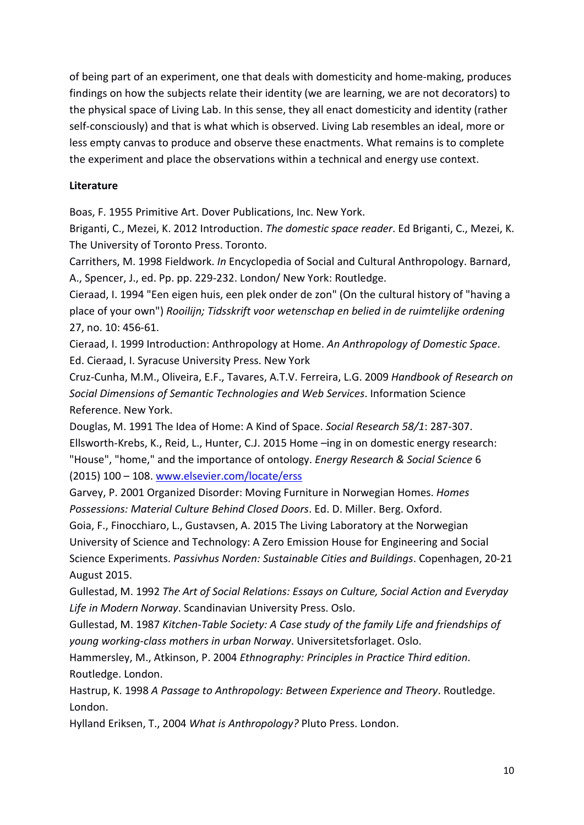of being part of an experiment, one that deals with domesticity and home-making, produces findings on how the subjects relate their identity (we are learning, we are not decorators) to the physical space of Living Lab. In this sense, they all enact domesticity and identity (rather self-consciously) and that is what which is observed. Living Lab resembles an ideal, more or less empty canvas to produce and observe these enactments. What remains is to complete the experiment and place the observations within a technical and energy use context.

# **Literature**

Boas, F. 1955 Primitive Art. Dover Publications, Inc. New York.

Briganti, C., Mezei, K. 2012 Introduction. *The domestic space reader*. Ed Briganti, C., Mezei, K. The University of Toronto Press. Toronto.

Carrithers, M. 1998 Fieldwork. *In* Encyclopedia of Social and Cultural Anthropology. Barnard, A., Spencer, J., ed. Pp. pp. 229-232. London/ New York: Routledge.

Cieraad, I. 1994 "Een eigen huis, een plek onder de zon" (On the cultural history of "having a place of your own") *Rooilijn; Tidsskrift voor wetenschap en belied in de ruimtelijke ordening* 27, no. 10: 456-61.

Cieraad, I. 1999 Introduction: Anthropology at Home. *An Anthropology of Domestic Space*. Ed. Cieraad, I. Syracuse University Press. New York

Cruz-Cunha, M.M., Oliveira, E.F., Tavares, A.T.V. Ferreira, L.G. 2009 *Handbook of Research on Social Dimensions of Semantic Technologies and Web Services*. Information Science Reference. New York.

Douglas, M. 1991 The Idea of Home: A Kind of Space. *Social Research 58/1*: 287-307. Ellsworth-Krebs, K., Reid, L., Hunter, C.J. 2015 Home –ing in on domestic energy research: "House", "home," and the importance of ontology. *Energy Research & Social Science* 6 (2015) 100 – 108. [www.elsevier.com/locate/erss](http://www.elsevier.com/locate/erss)

Garvey, P. 2001 Organized Disorder: Moving Furniture in Norwegian Homes. *Homes Possessions: Material Culture Behind Closed Doors*. Ed. D. Miller. Berg. Oxford.

Goia, F., Finocchiaro, L., Gustavsen, A. 2015 The Living Laboratory at the Norwegian University of Science and Technology: A Zero Emission House for Engineering and Social Science Experiments. *Passivhus Norden: Sustainable Cities and Buildings*. Copenhagen, 20-21 August 2015.

Gullestad, M. 1992 *The Art of Social Relations: Essays on Culture, Social Action and Everyday Life in Modern Norway*. Scandinavian University Press. Oslo.

Gullestad, M. 1987 *Kitchen-Table Society: A Case study of the family Life and friendships of young working-class mothers in urban Norway*. Universitetsforlaget. Oslo.

Hammersley, M., Atkinson, P. 2004 *Ethnography: Principles in Practice Third edition*. Routledge. London.

Hastrup, K. 1998 *A Passage to Anthropology: Between Experience and Theory*. Routledge. London.

Hylland Eriksen, T., 2004 *What is Anthropology?* Pluto Press. London.